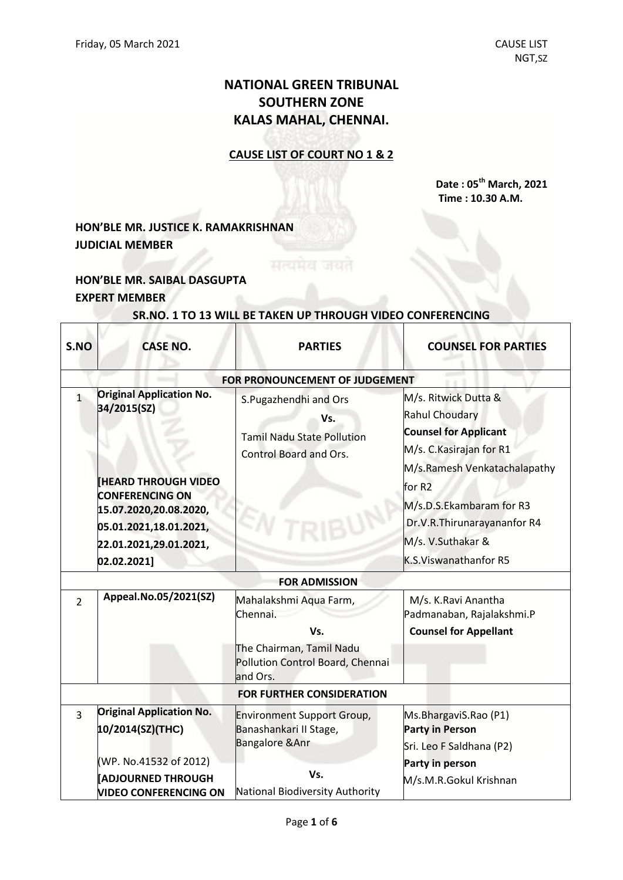# **NATIONAL GREEN TRIBUNAL SOUTHERN ZONE KALAS MAHAL, CHENNAI.**

### **CAUSE LIST OF COURT NO 1 & 2**

**Date : 05th March, 2021 Time : 10.30 A.M.**

# **HON'BLE MR. JUSTICE K. RAMAKRISHNAN JUDICIAL MEMBER**

## **HON'BLE MR. SAIBAL DASGUPTA EXPERT MEMBER**

| S.NO                             | <b>CASE NO.</b>                                                                    | <b>PARTIES</b>                                                                              | <b>COUNSEL FOR PARTIES</b>                                                                                                                |
|----------------------------------|------------------------------------------------------------------------------------|---------------------------------------------------------------------------------------------|-------------------------------------------------------------------------------------------------------------------------------------------|
|                                  |                                                                                    | FOR PRONOUNCEMENT OF JUDGEMENT                                                              |                                                                                                                                           |
| $\mathbf{1}$                     | <b>Original Application No.</b><br>34/2015(SZ)                                     | S.Pugazhendhi and Ors<br>Vs.<br><b>Tamil Nadu State Pollution</b><br>Control Board and Ors. | M/s. Ritwick Dutta &<br><b>Rahul Choudary</b><br><b>Counsel for Applicant</b><br>M/s. C. Kasirajan for R1<br>M/s.Ramesh Venkatachalapathy |
|                                  | <b>HEARD THROUGH VIDEO</b><br><b>CONFERENCING ON</b><br>15.07.2020,20.08.2020,     |                                                                                             | for R <sub>2</sub><br>M/s.D.S.Ekambaram for R3                                                                                            |
|                                  | 05.01.2021,18.01.2021,<br>22.01.2021,29.01.2021,                                   |                                                                                             | Dr.V.R.Thirunarayananfor R4<br>M/s. V.Suthakar &                                                                                          |
|                                  | 02.02.2021]                                                                        |                                                                                             | K.S.Viswanathanfor R5                                                                                                                     |
|                                  |                                                                                    | <b>FOR ADMISSION</b>                                                                        |                                                                                                                                           |
| $\overline{2}$                   | Appeal.No.05/2021(SZ)                                                              | Mahalakshmi Aqua Farm,<br>Chennai.<br>Vs.                                                   | M/s. K.Ravi Anantha<br>Padmanaban, Rajalakshmi.P<br><b>Counsel for Appellant</b>                                                          |
|                                  |                                                                                    | The Chairman, Tamil Nadu<br>Pollution Control Board, Chennai<br>and Ors.                    |                                                                                                                                           |
| <b>FOR FURTHER CONSIDERATION</b> |                                                                                    |                                                                                             |                                                                                                                                           |
| $\overline{3}$                   | <b>Original Application No.</b><br>10/2014(SZ)(THC)                                | <b>Environment Support Group,</b><br>Banashankari II Stage,<br><b>Bangalore &amp; Anr</b>   | Ms.BhargaviS.Rao (P1)<br><b>Party in Person</b><br>Sri. Leo F Saldhana (P2)                                                               |
|                                  | (WP. No.41532 of 2012)<br><b>ADJOURNED THROUGH</b><br><b>VIDEO CONFERENCING ON</b> | Vs.<br>National Biodiversity Authority                                                      | Party in person<br>M/s.M.R.Gokul Krishnan                                                                                                 |

#### **SR.NO. 1 TO 13 WILL BE TAKEN UP THROUGH VIDEO CONFERENCING**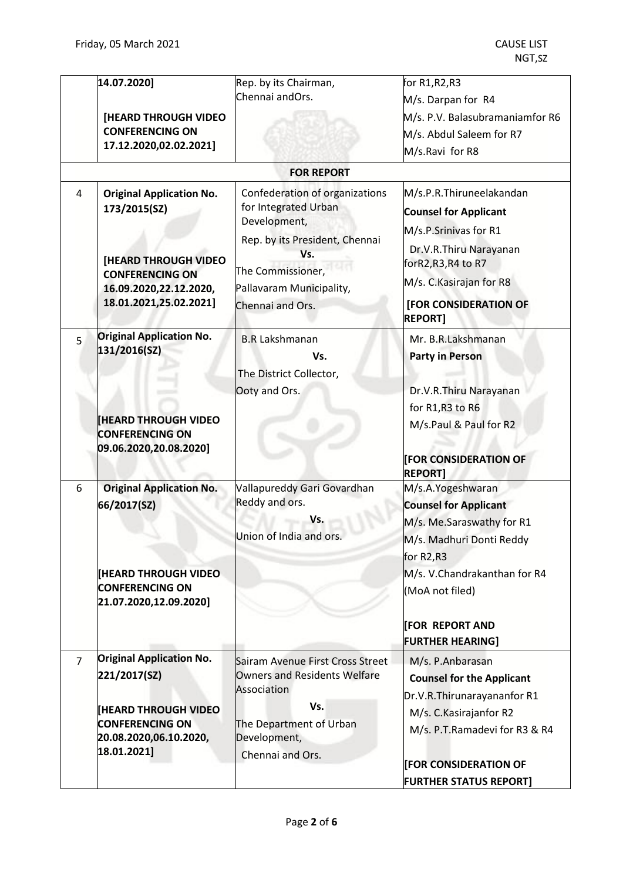|                | 14.07.2020]<br>[HEARD THROUGH VIDEO<br><b>CONFERENCING ON</b><br>17.12.2020,02.02.2021]                                                                      | Rep. by its Chairman,<br>Chennai andOrs.                                                                                                                                             | for R1,R2,R3<br>M/s. Darpan for R4<br>M/s. P.V. Balasubramaniamfor R6<br>M/s. Abdul Saleem for R7<br>M/s.Ravi for R8                                                                                           |
|----------------|--------------------------------------------------------------------------------------------------------------------------------------------------------------|--------------------------------------------------------------------------------------------------------------------------------------------------------------------------------------|----------------------------------------------------------------------------------------------------------------------------------------------------------------------------------------------------------------|
|                |                                                                                                                                                              | <b>FOR REPORT</b>                                                                                                                                                                    |                                                                                                                                                                                                                |
| 4              | <b>Original Application No.</b><br>173/2015(SZ)<br><b>[HEARD THROUGH VIDEO</b><br><b>CONFERENCING ON</b><br>16.09.2020,22.12.2020,<br>18.01.2021,25.02.2021] | Confederation of organizations<br>for Integrated Urban<br>Development,<br>Rep. by its President, Chennai<br>Vs.<br>The Commissioner,<br>Pallavaram Municipality,<br>Chennai and Ors. | M/s.P.R.Thiruneelakandan<br><b>Counsel for Applicant</b><br>M/s.P.Srinivas for R1<br>Dr.V.R.Thiru Narayanan<br>forR2,R3,R4 to R7<br>M/s. C. Kasirajan for R8<br><b>[FOR CONSIDERATION OF</b><br><b>REPORT]</b> |
| 5              | <b>Original Application No.</b><br>131/2016(SZ)                                                                                                              | <b>B.R Lakshmanan</b><br>Vs.<br>The District Collector,                                                                                                                              | Mr. B.R.Lakshmanan<br><b>Party in Person</b>                                                                                                                                                                   |
|                | <b>HEARD THROUGH VIDEO</b><br><b>CONFERENCING ON</b><br>09.06.2020,20.08.2020]                                                                               | Ooty and Ors.                                                                                                                                                                        | Dr.V.R.Thiru Narayanan<br>for R1, R3 to R6<br>M/s.Paul & Paul for R2<br><b>FOR CONSIDERATION OF</b><br><b>REPORT1</b>                                                                                          |
| 6              | <b>Original Application No.</b><br>66/2017(SZ)                                                                                                               | Vallapureddy Gari Govardhan<br>Reddy and ors.<br>Vs.<br>Union of India and ors.                                                                                                      | M/s.A.Yogeshwaran<br><b>Counsel for Applicant</b><br>M/s. Me.Saraswathy for R1<br>M/s. Madhuri Donti Reddy<br>for R <sub>2</sub> ,R <sub>3</sub>                                                               |
|                | <b>[HEARD THROUGH VIDEO</b><br><b>CONFERENCING ON</b><br>21.07.2020,12.09.2020]                                                                              |                                                                                                                                                                                      | M/s. V.Chandrakanthan for R4<br>(MoA not filed)<br><b>FOR REPORT AND</b><br><b>FURTHER HEARING]</b>                                                                                                            |
| $\overline{7}$ | <b>Original Application No.</b><br>221/2017(SZ)                                                                                                              | Sairam Avenue First Cross Street<br><b>Owners and Residents Welfare</b><br>Association                                                                                               | M/s. P.Anbarasan<br><b>Counsel for the Applicant</b><br>Dr.V.R.Thirunarayananfor R1                                                                                                                            |
|                | <b>THEARD THROUGH VIDEO</b><br><b>CONFERENCING ON</b><br>20.08.2020,06.10.2020,<br>18.01.2021]                                                               | Vs.<br>The Department of Urban<br>Development,<br>Chennai and Ors.                                                                                                                   | M/s. C. Kasirajanfor R2<br>M/s. P.T.Ramadevi for R3 & R4<br><b>[FOR CONSIDERATION OF</b>                                                                                                                       |
|                |                                                                                                                                                              |                                                                                                                                                                                      | <b>FURTHER STATUS REPORT]</b>                                                                                                                                                                                  |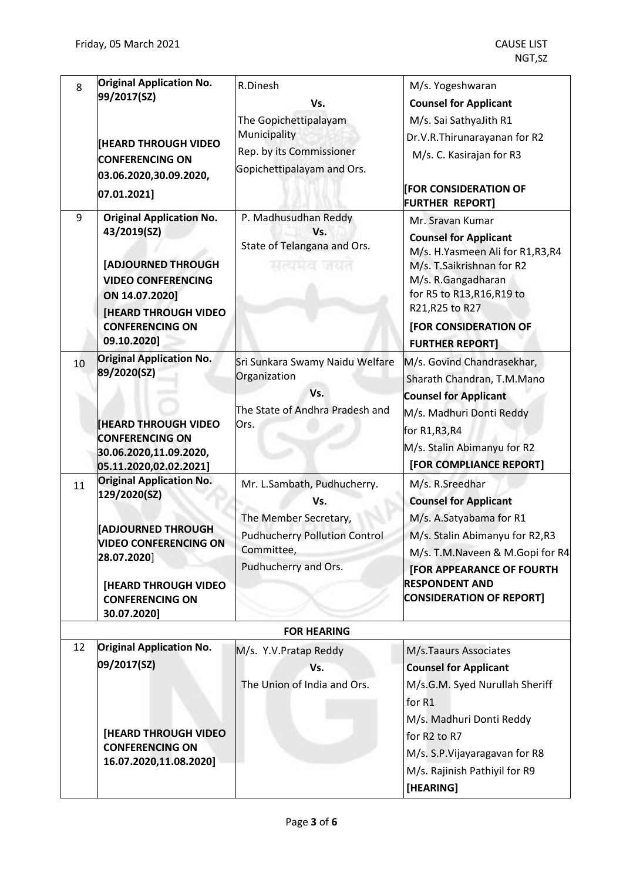| 8  | <b>Original Application No.</b><br>99/2017(SZ)                                                                                                                                              | R.Dinesh<br>Vs.                                                          | M/s. Yogeshwaran<br><b>Counsel for Applicant</b>                                                                                                                                                                                           |
|----|---------------------------------------------------------------------------------------------------------------------------------------------------------------------------------------------|--------------------------------------------------------------------------|--------------------------------------------------------------------------------------------------------------------------------------------------------------------------------------------------------------------------------------------|
|    |                                                                                                                                                                                             | The Gopichettipalayam                                                    | M/s. Sai SathyaJith R1                                                                                                                                                                                                                     |
|    |                                                                                                                                                                                             | Municipality                                                             | Dr.V.R.Thirunarayanan for R2                                                                                                                                                                                                               |
|    | <b>[HEARD THROUGH VIDEO</b>                                                                                                                                                                 | Rep. by its Commissioner                                                 | M/s. C. Kasirajan for R3                                                                                                                                                                                                                   |
|    | <b>CONFERENCING ON</b>                                                                                                                                                                      | Gopichettipalayam and Ors.                                               |                                                                                                                                                                                                                                            |
|    | 03.06.2020,30.09.2020,                                                                                                                                                                      |                                                                          | <b>FOR CONSIDERATION OF</b>                                                                                                                                                                                                                |
|    | 07.01.2021]                                                                                                                                                                                 |                                                                          | <b>FURTHER REPORT]</b>                                                                                                                                                                                                                     |
| 9  | <b>Original Application No.</b><br>43/2019(SZ)<br>[ADJOURNED THROUGH<br><b>VIDEO CONFERENCING</b><br>ON 14.07.2020]<br><b>[HEARD THROUGH VIDEO</b><br><b>CONFERENCING ON</b><br>09.10.2020] | P. Madhusudhan Reddy<br>Vs.<br>State of Telangana and Ors.<br>मत्यमत जयत | Mr. Sravan Kumar<br><b>Counsel for Applicant</b><br>M/s. H.Yasmeen Ali for R1,R3,R4<br>M/s. T.Saikrishnan for R2<br>M/s. R.Gangadharan<br>for R5 to R13, R16, R19 to<br>R21, R25 to R27<br>[FOR CONSIDERATION OF<br><b>FURTHER REPORT]</b> |
| 10 | <b>Original Application No.</b>                                                                                                                                                             | Sri Sunkara Swamy Naidu Welfare                                          | M/s. Govind Chandrasekhar,                                                                                                                                                                                                                 |
|    | 89/2020(SZ)<br><b>HEARD THROUGH VIDEO</b><br><b>CONFERENCING ON</b><br>30.06.2020,11.09.2020,<br>05.11.2020,02.02.2021]                                                                     | Organization<br>Vs.<br>The State of Andhra Pradesh and<br>Ors.           | Sharath Chandran, T.M.Mano<br><b>Counsel for Applicant</b><br>M/s. Madhuri Donti Reddy<br>for R1, R3, R4<br>M/s. Stalin Abimanyu for R2<br>[FOR COMPLIANCE REPORT]                                                                         |
| 11 | <b>Original Application No.</b><br>129/2020(SZ)                                                                                                                                             | Mr. L.Sambath, Pudhucherry.                                              | M/s. R.Sreedhar                                                                                                                                                                                                                            |
|    |                                                                                                                                                                                             | Vs.                                                                      | <b>Counsel for Applicant</b>                                                                                                                                                                                                               |
|    | <b>ADJOURNED THROUGH</b>                                                                                                                                                                    | The Member Secretary,                                                    | M/s. A.Satyabama for R1                                                                                                                                                                                                                    |
|    | <b>VIDEO CONFERENCING ON</b>                                                                                                                                                                | <b>Pudhucherry Pollution Control</b>                                     | M/s. Stalin Abimanyu for R2,R3                                                                                                                                                                                                             |
|    | 28.07.2020]                                                                                                                                                                                 | Committee,                                                               | M/s. T.M.Naveen & M.Gopi for R4                                                                                                                                                                                                            |
|    |                                                                                                                                                                                             | Pudhucherry and Ors.                                                     | <b>[FOR APPEARANCE OF FOURTH</b><br><b>RESPONDENT AND</b>                                                                                                                                                                                  |
|    | <b>[HEARD THROUGH VIDEO]</b><br><b>CONFERENCING ON</b><br>30.07.2020]                                                                                                                       |                                                                          | <b>CONSIDERATION OF REPORT]</b>                                                                                                                                                                                                            |
|    |                                                                                                                                                                                             | <b>FOR HEARING</b>                                                       |                                                                                                                                                                                                                                            |
| 12 | <b>Original Application No.</b>                                                                                                                                                             | M/s. Y.V. Pratap Reddy                                                   | M/s.Taaurs Associates                                                                                                                                                                                                                      |
|    | 09/2017(SZ)                                                                                                                                                                                 | Vs.                                                                      | <b>Counsel for Applicant</b>                                                                                                                                                                                                               |
|    |                                                                                                                                                                                             | The Union of India and Ors.                                              | M/s.G.M. Syed Nurullah Sheriff<br>for R1                                                                                                                                                                                                   |
|    | <b>[HEARD THROUGH VIDEO</b>                                                                                                                                                                 |                                                                          | M/s. Madhuri Donti Reddy                                                                                                                                                                                                                   |
|    | <b>CONFERENCING ON</b>                                                                                                                                                                      |                                                                          | for R2 to R7                                                                                                                                                                                                                               |
|    | 16.07.2020,11.08.2020]                                                                                                                                                                      |                                                                          | M/s. S.P. Vijayaragavan for R8                                                                                                                                                                                                             |
|    |                                                                                                                                                                                             |                                                                          | M/s. Rajinish Pathiyil for R9<br>[HEARING]                                                                                                                                                                                                 |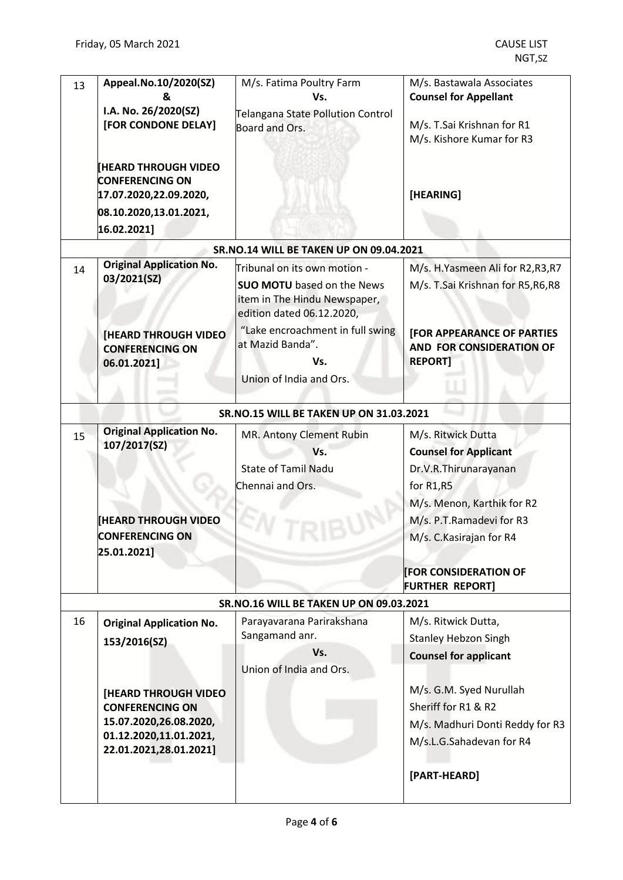| 13 | Appeal.No.10/2020(SZ)                                 | M/s. Fatima Poultry Farm                            | M/s. Bastawala Associates          |
|----|-------------------------------------------------------|-----------------------------------------------------|------------------------------------|
|    | &<br>I.A. No. 26/2020(SZ)                             | Vs.                                                 | <b>Counsel for Appellant</b>       |
|    | [FOR CONDONE DELAY]                                   | Telangana State Pollution Control<br>Board and Ors. | M/s. T.Sai Krishnan for R1         |
|    |                                                       |                                                     | M/s. Kishore Kumar for R3          |
|    |                                                       |                                                     |                                    |
|    | <b>[HEARD THROUGH VIDEO</b>                           |                                                     |                                    |
|    | <b>CONFERENCING ON</b>                                |                                                     |                                    |
|    | 17.07.2020,22.09.2020,                                |                                                     | [HEARING]                          |
|    | 08.10.2020,13.01.2021,                                |                                                     |                                    |
|    | 16.02.2021]                                           |                                                     |                                    |
|    |                                                       | SR.NO.14 WILL BE TAKEN UP ON 09.04.2021             |                                    |
| 14 | <b>Original Application No.</b>                       | Tribunal on its own motion -                        | M/s. H.Yasmeen Ali for R2,R3,R7    |
|    | 03/2021(SZ)                                           | <b>SUO MOTU</b> based on the News                   | M/s. T.Sai Krishnan for R5, R6, R8 |
|    |                                                       | item in The Hindu Newspaper,                        |                                    |
|    |                                                       | edition dated 06.12.2020,                           |                                    |
|    | <b>[HEARD THROUGH VIDEO]</b>                          | "Lake encroachment in full swing                    | <b>[FOR APPEARANCE OF PARTIES</b>  |
|    | <b>CONFERENCING ON</b>                                | at Mazid Banda".                                    | AND FOR CONSIDERATION OF           |
|    | 06.01.2021]                                           | Vs.                                                 | <b>REPORT]</b>                     |
|    |                                                       | Union of India and Ors.                             |                                    |
|    |                                                       |                                                     |                                    |
|    |                                                       | SR.NO.15 WILL BE TAKEN UP ON 31.03.2021             |                                    |
| 15 | <b>Original Application No.</b>                       | MR. Antony Clement Rubin                            | M/s. Ritwick Dutta                 |
|    | 107/2017(SZ)                                          | Vs.                                                 | <b>Counsel for Applicant</b>       |
|    |                                                       | <b>State of Tamil Nadu</b>                          | Dr.V.R.Thirunarayanan              |
|    |                                                       | Chennai and Ors.                                    | for R1,R5                          |
|    |                                                       |                                                     | M/s. Menon, Karthik for R2         |
|    | <b>HEARD THROUGH VIDEO</b>                            |                                                     | M/s. P.T.Ramadevi for R3           |
|    | CONFFRENCING ON                                       |                                                     | M/s. C. Kasirajan for R4           |
|    | 25.01.2021]                                           |                                                     |                                    |
|    |                                                       |                                                     | <b>FOR CONSIDERATION OF</b>        |
|    |                                                       |                                                     | <b>FURTHER REPORT]</b>             |
|    |                                                       | <b>SR.NO.16 WILL BE TAKEN UP ON 09.03.2021</b>      |                                    |
| 16 | <b>Original Application No.</b>                       | Parayavarana Parirakshana                           | M/s. Ritwick Dutta,                |
|    | 153/2016(SZ)                                          | Sangamand anr.                                      | <b>Stanley Hebzon Singh</b>        |
|    |                                                       | Vs.                                                 | <b>Counsel for applicant</b>       |
|    |                                                       | Union of India and Ors.                             |                                    |
|    |                                                       |                                                     | M/s. G.M. Syed Nurullah            |
|    | <b>[HEARD THROUGH VIDEO</b><br><b>CONFERENCING ON</b> |                                                     | Sheriff for R1 & R2                |
|    | 15.07.2020,26.08.2020,                                |                                                     | M/s. Madhuri Donti Reddy for R3    |
|    | 01.12.2020,11.01.2021,                                |                                                     |                                    |
|    | 22.01.2021,28.01.2021]                                |                                                     | M/s.L.G.Sahadevan for R4           |
|    |                                                       |                                                     |                                    |
|    |                                                       |                                                     | [PART-HEARD]                       |
|    |                                                       |                                                     |                                    |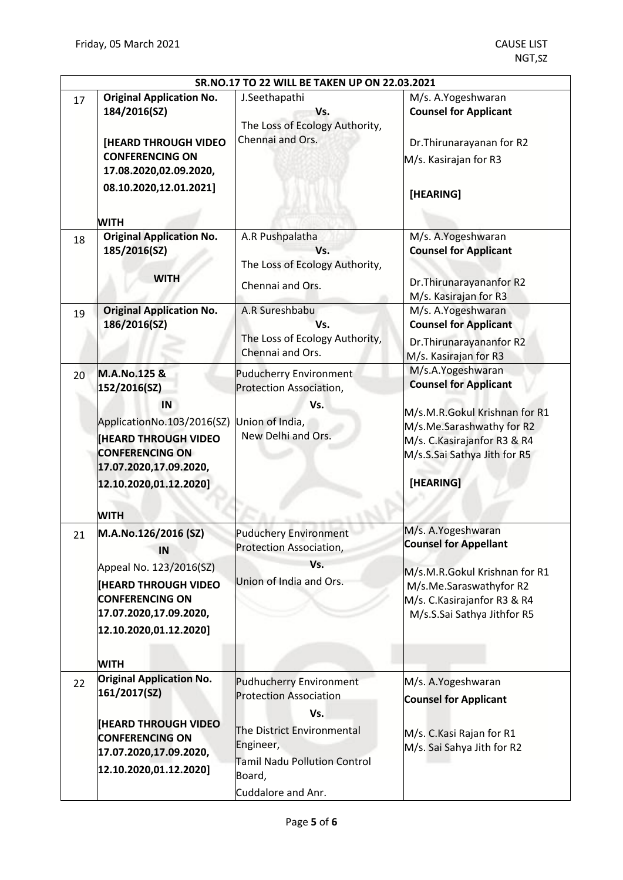| SR.NO.17 TO 22 WILL BE TAKEN UP ON 22.03.2021 |                                                                                                                                                                                             |                                                                                                                                                                                   |                                                                                                                                                                                              |
|-----------------------------------------------|---------------------------------------------------------------------------------------------------------------------------------------------------------------------------------------------|-----------------------------------------------------------------------------------------------------------------------------------------------------------------------------------|----------------------------------------------------------------------------------------------------------------------------------------------------------------------------------------------|
| 17                                            | <b>Original Application No.</b><br>184/2016(SZ)<br>[HEARD THROUGH VIDEO<br><b>CONFERENCING ON</b><br>17.08.2020,02.09.2020,<br>08.10.2020,12.01.2021]<br><b>WITH</b>                        | J.Seethapathi<br>Vs.<br>The Loss of Ecology Authority,<br>Chennai and Ors.                                                                                                        | M/s. A.Yogeshwaran<br><b>Counsel for Applicant</b><br>Dr. Thirunarayanan for R2<br>M/s. Kasirajan for R3<br>[HEARING]                                                                        |
| 18                                            | <b>Original Application No.</b><br>185/2016(SZ)<br><b>WITH</b>                                                                                                                              | A.R Pushpalatha<br>Vs.<br>The Loss of Ecology Authority,<br>Chennai and Ors.                                                                                                      | M/s. A.Yogeshwaran<br><b>Counsel for Applicant</b><br>Dr. Thirunarayananfor R2<br>M/s. Kasirajan for R3                                                                                      |
| 19                                            | <b>Original Application No.</b><br>186/2016(SZ)                                                                                                                                             | A.R Sureshbabu<br>Vs.<br>The Loss of Ecology Authority,<br>Chennai and Ors.                                                                                                       | M/s. A.Yogeshwaran<br><b>Counsel for Applicant</b><br>Dr. Thirunarayananfor R2<br>M/s. Kasirajan for R3                                                                                      |
| 20                                            | M.A.No.125 &<br>152/2016(SZ)<br>IN<br>ApplicationNo.103/2016(SZ)<br><b>HEARD THROUGH VIDEO</b><br><b>CONFERENCING ON</b><br>17.07.2020,17.09.2020,<br>12.10.2020,01.12.2020]<br><b>WITH</b> | <b>Puducherry Environment</b><br>Protection Association,<br>Vs.<br>Union of India,<br>New Delhi and Ors.                                                                          | M/s.A.Yogeshwaran<br><b>Counsel for Applicant</b><br>M/s.M.R.Gokul Krishnan for R1<br>M/s.Me.Sarashwathy for R2<br>M/s. C. Kasirajanfor R3 & R4<br>M/s.S.Sai Sathya Jith for R5<br>[HEARING] |
| 21                                            | M.A.No.126/2016 (SZ)<br>IN<br>Appeal No. 123/2016(SZ)<br><b>HEARD THROUGH VIDEO</b><br><b>CONFERENCING ON</b><br>17.07.2020,17.09.2020,<br>12.10.2020,01.12.2020]<br><b>WITH</b>            | <b>Puduchery Environment</b><br>Protection Association,<br>Vs.<br>Union of India and Ors.                                                                                         | M/s. A.Yogeshwaran<br><b>Counsel for Appellant</b><br>M/s.M.R.Gokul Krishnan for R1<br>M/s.Me.Saraswathyfor R2<br>M/s. C. Kasirajanfor R3 & R4<br>M/s.S.Sai Sathya Jithfor R5                |
| 22                                            | <b>Original Application No.</b><br>161/2017(SZ)<br><b>[HEARD THROUGH VIDEO</b><br><b>CONFERENCING ON</b><br>17.07.2020,17.09.2020,<br>12.10.2020,01.12.2020]                                | Pudhucherry Environment<br><b>Protection Association</b><br>Vs.<br>The District Environmental<br>Engineer,<br><b>Tamil Nadu Pollution Control</b><br>Board,<br>Cuddalore and Anr. | M/s. A.Yogeshwaran<br><b>Counsel for Applicant</b><br>M/s. C. Kasi Rajan for R1<br>M/s. Sai Sahya Jith for R2                                                                                |